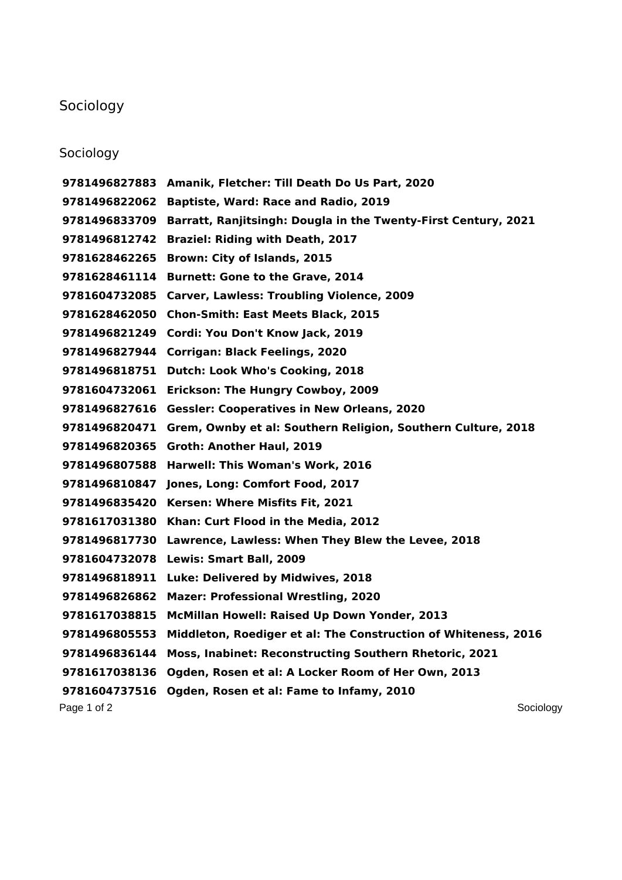## Sociology

## Sociology

Page 1 of 2 Sociology **Amanik, Fletcher: Till Death Do Us Part, 2020 Baptiste, Ward: Race and Radio, 2019 Barratt, Ranjitsingh: Dougla in the Twenty-First Century, 2021 Braziel: Riding with Death, 2017 Brown: City of Islands, 2015 Burnett: Gone to the Grave, 2014 Carver, Lawless: Troubling Violence, 2009 Chon-Smith: East Meets Black, 2015 Cordi: You Don't Know Jack, 2019 Corrigan: Black Feelings, 2020 Dutch: Look Who's Cooking, 2018 Erickson: The Hungry Cowboy, 2009 Gessler: Cooperatives in New Orleans, 2020 Grem, Ownby et al: Southern Religion, Southern Culture, 2018 Groth: Another Haul, 2019 Harwell: This Woman's Work, 2016 Jones, Long: Comfort Food, 2017 Kersen: Where Misfits Fit, 2021 Khan: Curt Flood in the Media, 2012 Lawrence, Lawless: When They Blew the Levee, 2018 Lewis: Smart Ball, 2009 Luke: Delivered by Midwives, 2018 Mazer: Professional Wrestling, 2020 McMillan Howell: Raised Up Down Yonder, 2013 Middleton, Roediger et al: The Construction of Whiteness, 2016 Moss, Inabinet: Reconstructing Southern Rhetoric, 2021 Ogden, Rosen et al: A Locker Room of Her Own, 2013 Ogden, Rosen et al: Fame to Infamy, 2010**